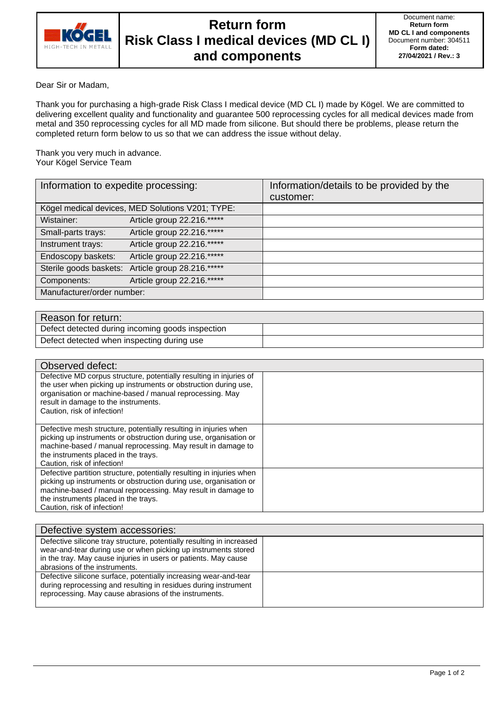

## **Return form Risk Class I medical devices (MD CL I) and components**

Document name: **Return form MD CL I and components**  Document number: 304511 **Form dated: 27/04/2021 / Rev.: 3**

## Dear Sir or Madam,

Thank you for purchasing a high-grade Risk Class I medical device (MD CL I) made by Kögel. We are committed to delivering excellent quality and functionality and guarantee 500 reprocessing cycles for all medical devices made from metal and 350 reprocessing cycles for all MD made from silicone. But should there be problems, please return the completed return form below to us so that we can address the issue without delay.

Thank you very much in advance. Your Kögel Service Team

| Information to expedite processing:              |                                                   | Information/details to be provided by the |
|--------------------------------------------------|---------------------------------------------------|-------------------------------------------|
|                                                  |                                                   | customer:                                 |
| Kögel medical devices, MED Solutions V201; TYPE: |                                                   |                                           |
| Wistainer:                                       | Article group 22.216.*****                        |                                           |
| Small-parts trays:                               | Article group 22.216.*****                        |                                           |
| Instrument trays:                                | Article group 22.216.*****                        |                                           |
| Endoscopy baskets:                               | Article group 22.216.*****                        |                                           |
|                                                  | Sterile goods baskets: Article group 28.216.***** |                                           |
| Components:                                      | Article group 22.216.*****                        |                                           |
| Manufacturer/order number:                       |                                                   |                                           |

| Reason for return:                               |  |
|--------------------------------------------------|--|
| Defect detected during incoming goods inspection |  |
| Defect detected when inspecting during use       |  |

| Observed defect:                                                                                                                       |  |
|----------------------------------------------------------------------------------------------------------------------------------------|--|
| Defective MD corpus structure, potentially resulting in injuries of<br>the user when picking up instruments or obstruction during use, |  |
| organisation or machine-based / manual reprocessing. May                                                                               |  |
| result in damage to the instruments.                                                                                                   |  |
| Caution, risk of infection!                                                                                                            |  |
| Defective mesh structure, potentially resulting in injuries when                                                                       |  |
| picking up instruments or obstruction during use, organisation or                                                                      |  |
| machine-based / manual reprocessing. May result in damage to                                                                           |  |
| the instruments placed in the trays.                                                                                                   |  |
| Caution, risk of infection!                                                                                                            |  |
| Defective partition structure, potentially resulting in injuries when                                                                  |  |
| picking up instruments or obstruction during use, organisation or                                                                      |  |
| machine-based / manual reprocessing. May result in damage to                                                                           |  |
| the instruments placed in the trays.                                                                                                   |  |
| Caution, risk of infection!                                                                                                            |  |

| Defective system accessories:                                                                                                                                                                                                               |  |
|---------------------------------------------------------------------------------------------------------------------------------------------------------------------------------------------------------------------------------------------|--|
| Defective silicone tray structure, potentially resulting in increased<br>wear-and-tear during use or when picking up instruments stored<br>in the tray. May cause injuries in users or patients. May cause<br>abrasions of the instruments. |  |
| Defective silicone surface, potentially increasing wear-and-tear<br>during reprocessing and resulting in residues during instrument<br>reprocessing. May cause abrasions of the instruments.                                                |  |